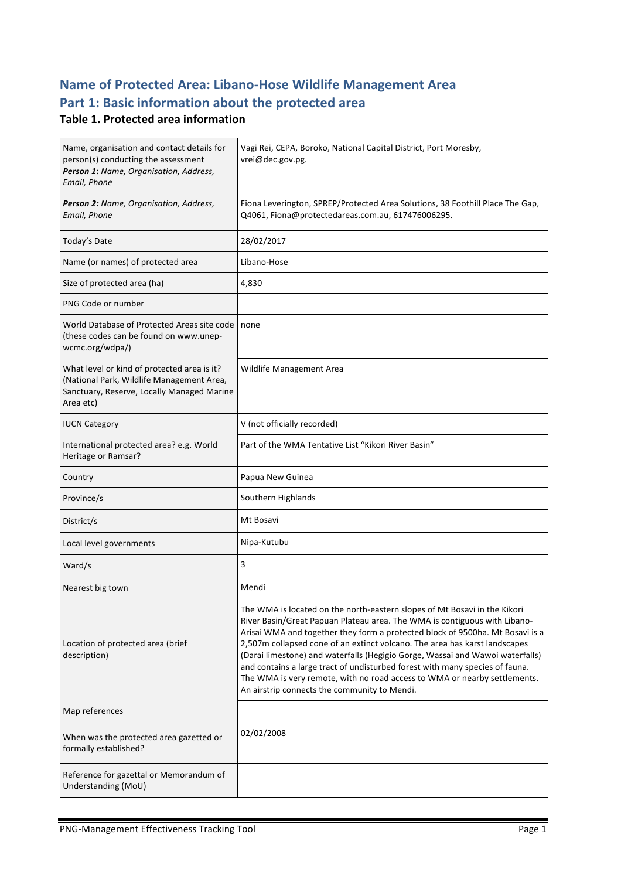## **Name of Protected Area: Libano-Hose Wildlife Management Area** Part 1: Basic information about the protected area

#### **Table 1. Protected area information**

| Name, organisation and contact details for<br>person(s) conducting the assessment<br>Person 1: Name, Organisation, Address,<br>Email, Phone         | Vagi Rei, CEPA, Boroko, National Capital District, Port Moresby,<br>vrei@dec.gov.pg.                                                                                                                                                                                                                                                                                                                                                                                                                                                                                                                                |
|-----------------------------------------------------------------------------------------------------------------------------------------------------|---------------------------------------------------------------------------------------------------------------------------------------------------------------------------------------------------------------------------------------------------------------------------------------------------------------------------------------------------------------------------------------------------------------------------------------------------------------------------------------------------------------------------------------------------------------------------------------------------------------------|
| Person 2: Name, Organisation, Address,<br>Email, Phone                                                                                              | Fiona Leverington, SPREP/Protected Area Solutions, 38 Foothill Place The Gap,<br>Q4061, Fiona@protectedareas.com.au, 617476006295.                                                                                                                                                                                                                                                                                                                                                                                                                                                                                  |
| Today's Date                                                                                                                                        | 28/02/2017                                                                                                                                                                                                                                                                                                                                                                                                                                                                                                                                                                                                          |
| Name (or names) of protected area                                                                                                                   | Libano-Hose                                                                                                                                                                                                                                                                                                                                                                                                                                                                                                                                                                                                         |
| Size of protected area (ha)                                                                                                                         | 4,830                                                                                                                                                                                                                                                                                                                                                                                                                                                                                                                                                                                                               |
| PNG Code or number                                                                                                                                  |                                                                                                                                                                                                                                                                                                                                                                                                                                                                                                                                                                                                                     |
| World Database of Protected Areas site code<br>(these codes can be found on www.unep-<br>wcmc.org/wdpa/)                                            | none                                                                                                                                                                                                                                                                                                                                                                                                                                                                                                                                                                                                                |
| What level or kind of protected area is it?<br>(National Park, Wildlife Management Area,<br>Sanctuary, Reserve, Locally Managed Marine<br>Area etc) | Wildlife Management Area                                                                                                                                                                                                                                                                                                                                                                                                                                                                                                                                                                                            |
| <b>IUCN Category</b>                                                                                                                                | V (not officially recorded)                                                                                                                                                                                                                                                                                                                                                                                                                                                                                                                                                                                         |
| International protected area? e.g. World<br>Heritage or Ramsar?                                                                                     | Part of the WMA Tentative List "Kikori River Basin"                                                                                                                                                                                                                                                                                                                                                                                                                                                                                                                                                                 |
| Country                                                                                                                                             | Papua New Guinea                                                                                                                                                                                                                                                                                                                                                                                                                                                                                                                                                                                                    |
| Province/s                                                                                                                                          | Southern Highlands                                                                                                                                                                                                                                                                                                                                                                                                                                                                                                                                                                                                  |
| District/s                                                                                                                                          | Mt Bosavi                                                                                                                                                                                                                                                                                                                                                                                                                                                                                                                                                                                                           |
| Local level governments                                                                                                                             | Nipa-Kutubu                                                                                                                                                                                                                                                                                                                                                                                                                                                                                                                                                                                                         |
| Ward/s                                                                                                                                              | 3                                                                                                                                                                                                                                                                                                                                                                                                                                                                                                                                                                                                                   |
| Nearest big town                                                                                                                                    |                                                                                                                                                                                                                                                                                                                                                                                                                                                                                                                                                                                                                     |
|                                                                                                                                                     | Mendi                                                                                                                                                                                                                                                                                                                                                                                                                                                                                                                                                                                                               |
| Location of protected area (brief<br>description)                                                                                                   | The WMA is located on the north-eastern slopes of Mt Bosavi in the Kikori<br>River Basin/Great Papuan Plateau area. The WMA is contiguous with Libano-<br>Arisai WMA and together they form a protected block of 9500ha. Mt Bosavi is a<br>2,507m collapsed cone of an extinct volcano. The area has karst landscapes<br>(Darai limestone) and waterfalls (Hegigio Gorge, Wassai and Wawoi waterfalls)<br>and contains a large tract of undisturbed forest with many species of fauna.<br>The WMA is very remote, with no road access to WMA or nearby settlements.<br>An airstrip connects the community to Mendi. |
| Map references                                                                                                                                      |                                                                                                                                                                                                                                                                                                                                                                                                                                                                                                                                                                                                                     |
| When was the protected area gazetted or<br>formally established?                                                                                    | 02/02/2008                                                                                                                                                                                                                                                                                                                                                                                                                                                                                                                                                                                                          |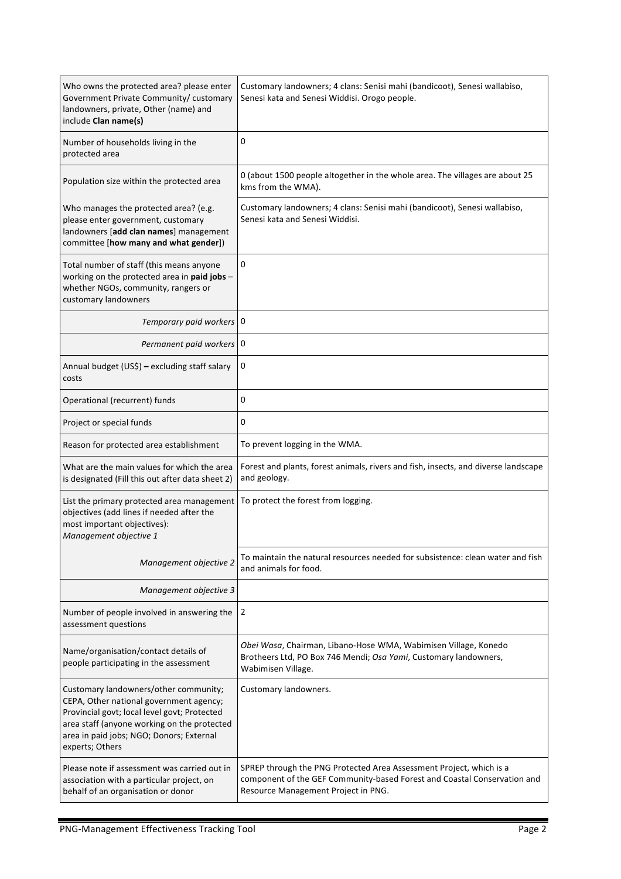| Who owns the protected area? please enter<br>Government Private Community/ customary<br>landowners, private, Other (name) and<br>include Clan name(s)                                                                                          | Customary landowners; 4 clans: Senisi mahi (bandicoot), Senesi wallabiso,<br>Senesi kata and Senesi Widdisi. Orogo people.                                                             |  |
|------------------------------------------------------------------------------------------------------------------------------------------------------------------------------------------------------------------------------------------------|----------------------------------------------------------------------------------------------------------------------------------------------------------------------------------------|--|
| Number of households living in the<br>protected area                                                                                                                                                                                           | 0                                                                                                                                                                                      |  |
| Population size within the protected area                                                                                                                                                                                                      | 0 (about 1500 people altogether in the whole area. The villages are about 25<br>kms from the WMA).                                                                                     |  |
| Who manages the protected area? (e.g.<br>please enter government, customary<br>landowners [add clan names] management<br>committee [how many and what gender])                                                                                 | Customary landowners; 4 clans: Senisi mahi (bandicoot), Senesi wallabiso,<br>Senesi kata and Senesi Widdisi.                                                                           |  |
| Total number of staff (this means anyone<br>working on the protected area in paid jobs -<br>whether NGOs, community, rangers or<br>customary landowners                                                                                        | 0                                                                                                                                                                                      |  |
| Temporary paid workers 0                                                                                                                                                                                                                       |                                                                                                                                                                                        |  |
| Permanent paid workers 0                                                                                                                                                                                                                       |                                                                                                                                                                                        |  |
| Annual budget (US\$) - excluding staff salary<br>costs                                                                                                                                                                                         | 0                                                                                                                                                                                      |  |
| Operational (recurrent) funds                                                                                                                                                                                                                  | 0                                                                                                                                                                                      |  |
| Project or special funds                                                                                                                                                                                                                       | 0                                                                                                                                                                                      |  |
| Reason for protected area establishment                                                                                                                                                                                                        | To prevent logging in the WMA.                                                                                                                                                         |  |
| What are the main values for which the area<br>is designated (Fill this out after data sheet 2)                                                                                                                                                | Forest and plants, forest animals, rivers and fish, insects, and diverse landscape<br>and geology.                                                                                     |  |
| List the primary protected area management<br>objectives (add lines if needed after the<br>most important objectives):<br>Management objective 1                                                                                               | To protect the forest from logging.                                                                                                                                                    |  |
| Management objective 2                                                                                                                                                                                                                         | To maintain the natural resources needed for subsistence: clean water and fish<br>and animals for food.                                                                                |  |
| Management objective 3                                                                                                                                                                                                                         |                                                                                                                                                                                        |  |
| Number of people involved in answering the<br>assessment questions                                                                                                                                                                             | 2                                                                                                                                                                                      |  |
| Name/organisation/contact details of<br>people participating in the assessment                                                                                                                                                                 | Obei Wasa, Chairman, Libano-Hose WMA, Wabimisen Village, Konedo<br>Brotheers Ltd, PO Box 746 Mendi; Osa Yami, Customary landowners,<br>Wabimisen Village.                              |  |
| Customary landowners/other community;<br>CEPA, Other national government agency;<br>Provincial govt; local level govt; Protected<br>area staff (anyone working on the protected<br>area in paid jobs; NGO; Donors; External<br>experts; Others | Customary landowners.                                                                                                                                                                  |  |
| Please note if assessment was carried out in<br>association with a particular project, on<br>behalf of an organisation or donor                                                                                                                | SPREP through the PNG Protected Area Assessment Project, which is a<br>component of the GEF Community-based Forest and Coastal Conservation and<br>Resource Management Project in PNG. |  |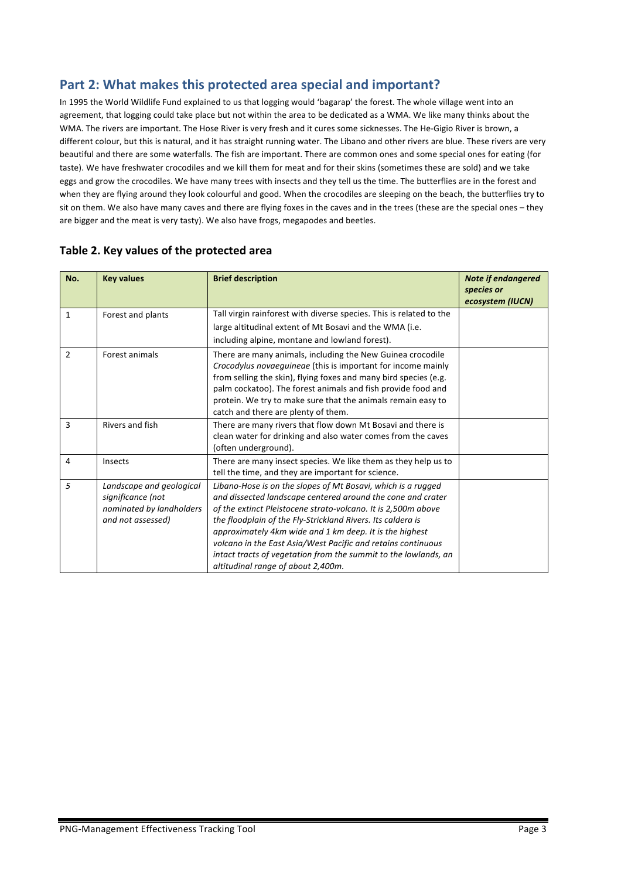## Part 2: What makes this protected area special and important?

In 1995 the World Wildlife Fund explained to us that logging would 'bagarap' the forest. The whole village went into an agreement, that logging could take place but not within the area to be dedicated as a WMA. We like many thinks about the WMA. The rivers are important. The Hose River is very fresh and it cures some sicknesses. The He-Gigio River is brown, a different colour, but this is natural, and it has straight running water. The Libano and other rivers are blue. These rivers are very beautiful and there are some waterfalls. The fish are important. There are common ones and some special ones for eating (for taste). We have freshwater crocodiles and we kill them for meat and for their skins (sometimes these are sold) and we take eggs and grow the crocodiles. We have many trees with insects and they tell us the time. The butterflies are in the forest and when they are flying around they look colourful and good. When the crocodiles are sleeping on the beach, the butterflies try to sit on them. We also have many caves and there are flying foxes in the caves and in the trees (these are the special ones – they are bigger and the meat is very tasty). We also have frogs, megapodes and beetles.

| No.            | <b>Key values</b>                                                                              | <b>Brief description</b>                                                                                                                                                                                                                                                                                                                                                                                                                                                                        | <b>Note if endangered</b><br>species or<br>ecosystem (IUCN) |
|----------------|------------------------------------------------------------------------------------------------|-------------------------------------------------------------------------------------------------------------------------------------------------------------------------------------------------------------------------------------------------------------------------------------------------------------------------------------------------------------------------------------------------------------------------------------------------------------------------------------------------|-------------------------------------------------------------|
| $\mathbf{1}$   | Forest and plants                                                                              | Tall virgin rainforest with diverse species. This is related to the<br>large altitudinal extent of Mt Bosavi and the WMA (i.e.<br>including alpine, montane and lowland forest).                                                                                                                                                                                                                                                                                                                |                                                             |
| $\overline{2}$ | Forest animals                                                                                 | There are many animals, including the New Guinea crocodile<br>Crocodylus novaeguineae (this is important for income mainly<br>from selling the skin), flying foxes and many bird species (e.g.<br>palm cockatoo). The forest animals and fish provide food and<br>protein. We try to make sure that the animals remain easy to<br>catch and there are plenty of them.                                                                                                                           |                                                             |
| 3              | <b>Rivers and fish</b>                                                                         | There are many rivers that flow down Mt Bosavi and there is<br>clean water for drinking and also water comes from the caves<br>(often underground).                                                                                                                                                                                                                                                                                                                                             |                                                             |
| 4              | Insects                                                                                        | There are many insect species. We like them as they help us to<br>tell the time, and they are important for science.                                                                                                                                                                                                                                                                                                                                                                            |                                                             |
| 5              | Landscape and geological<br>significance (not<br>nominated by landholders<br>and not assessed) | Libano-Hose is on the slopes of Mt Bosavi, which is a rugged<br>and dissected landscape centered around the cone and crater<br>of the extinct Pleistocene strato-volcano. It is 2,500m above<br>the floodplain of the Fly-Strickland Rivers. Its caldera is<br>approximately 4km wide and 1 km deep. It is the highest<br>volcano in the East Asia/West Pacific and retains continuous<br>intact tracts of vegetation from the summit to the lowlands, an<br>altitudinal range of about 2,400m. |                                                             |

#### Table 2. Key values of the protected area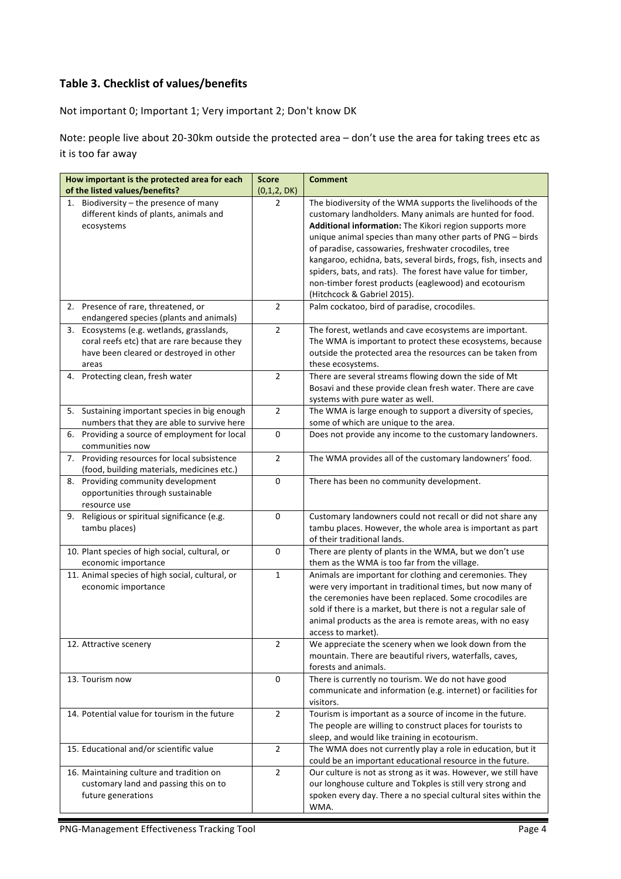#### **Table 3. Checklist of values/benefits**

Not important 0; Important 1; Very important 2; Don't know DK

Note: people live about 20-30km outside the protected area - don't use the area for taking trees etc as it is too far away

| How important is the protected area for each                                                                                                    | <b>Score</b>   | <b>Comment</b>                                                                                                                                                                                                                                                                                                                     |
|-------------------------------------------------------------------------------------------------------------------------------------------------|----------------|------------------------------------------------------------------------------------------------------------------------------------------------------------------------------------------------------------------------------------------------------------------------------------------------------------------------------------|
| of the listed values/benefits?                                                                                                                  | (0,1,2, DK)    |                                                                                                                                                                                                                                                                                                                                    |
| 1. Biodiversity - the presence of many<br>different kinds of plants, animals and<br>ecosystems                                                  | $\overline{2}$ | The biodiversity of the WMA supports the livelihoods of the<br>customary landholders. Many animals are hunted for food.<br>Additional information: The Kikori region supports more<br>unique animal species than many other parts of PNG - birds<br>of paradise, cassowaries, freshwater crocodiles, tree                          |
|                                                                                                                                                 |                | kangaroo, echidna, bats, several birds, frogs, fish, insects and<br>spiders, bats, and rats). The forest have value for timber,<br>non-timber forest products (eaglewood) and ecotourism<br>(Hitchcock & Gabriel 2015).                                                                                                            |
| 2. Presence of rare, threatened, or<br>endangered species (plants and animals)                                                                  | $\overline{2}$ | Palm cockatoo, bird of paradise, crocodiles.                                                                                                                                                                                                                                                                                       |
| Ecosystems (e.g. wetlands, grasslands,<br>3.<br>coral reefs etc) that are rare because they<br>have been cleared or destroyed in other<br>areas | $\overline{2}$ | The forest, wetlands and cave ecosystems are important.<br>The WMA is important to protect these ecosystems, because<br>outside the protected area the resources can be taken from<br>these ecosystems.                                                                                                                            |
| 4. Protecting clean, fresh water                                                                                                                | $\overline{2}$ | There are several streams flowing down the side of Mt<br>Bosavi and these provide clean fresh water. There are cave<br>systems with pure water as well.                                                                                                                                                                            |
| 5. Sustaining important species in big enough<br>numbers that they are able to survive here                                                     | $\overline{2}$ | The WMA is large enough to support a diversity of species,<br>some of which are unique to the area.                                                                                                                                                                                                                                |
| 6. Providing a source of employment for local<br>communities now                                                                                | 0              | Does not provide any income to the customary landowners.                                                                                                                                                                                                                                                                           |
| Providing resources for local subsistence<br>7.<br>(food, building materials, medicines etc.)                                                   | $\overline{2}$ | The WMA provides all of the customary landowners' food.                                                                                                                                                                                                                                                                            |
| 8.<br>Providing community development<br>opportunities through sustainable<br>resource use                                                      | 0              | There has been no community development.                                                                                                                                                                                                                                                                                           |
| 9. Religious or spiritual significance (e.g.<br>tambu places)                                                                                   | $\mathbf 0$    | Customary landowners could not recall or did not share any<br>tambu places. However, the whole area is important as part<br>of their traditional lands.                                                                                                                                                                            |
| 10. Plant species of high social, cultural, or<br>economic importance                                                                           | 0              | There are plenty of plants in the WMA, but we don't use<br>them as the WMA is too far from the village.                                                                                                                                                                                                                            |
| 11. Animal species of high social, cultural, or<br>economic importance                                                                          | $\mathbf{1}$   | Animals are important for clothing and ceremonies. They<br>were very important in traditional times, but now many of<br>the ceremonies have been replaced. Some crocodiles are<br>sold if there is a market, but there is not a regular sale of<br>animal products as the area is remote areas, with no easy<br>access to market). |
| 12. Attractive scenery                                                                                                                          | $\overline{2}$ | We appreciate the scenery when we look down from the<br>mountain. There are beautiful rivers, waterfalls, caves,<br>forests and animals.                                                                                                                                                                                           |
| 13. Tourism now                                                                                                                                 | 0              | There is currently no tourism. We do not have good<br>communicate and information (e.g. internet) or facilities for<br>visitors.                                                                                                                                                                                                   |
| 14. Potential value for tourism in the future                                                                                                   | $\overline{2}$ | Tourism is important as a source of income in the future.<br>The people are willing to construct places for tourists to<br>sleep, and would like training in ecotourism.                                                                                                                                                           |
| 15. Educational and/or scientific value                                                                                                         | $\overline{2}$ | The WMA does not currently play a role in education, but it<br>could be an important educational resource in the future.                                                                                                                                                                                                           |
| 16. Maintaining culture and tradition on<br>customary land and passing this on to<br>future generations                                         | $\overline{2}$ | Our culture is not as strong as it was. However, we still have<br>our longhouse culture and Tokples is still very strong and<br>spoken every day. There a no special cultural sites within the<br>WMA.                                                                                                                             |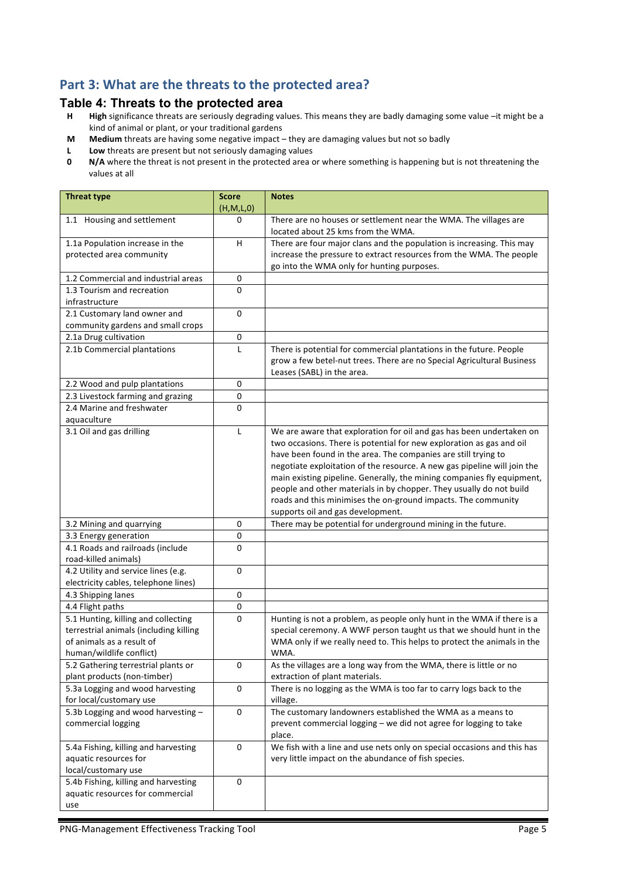## Part 3: What are the threats to the protected area?

# **Table 4: Threats to the protected area**

- High significance threats are seriously degrading values. This means they are badly damaging some value -it might be a kind of animal or plant, or your traditional gardens
- **M** Medium threats are having some negative impact they are damaging values but not so badly
- **L** Low threats are present but not seriously damaging values<br>**0** N/A where the threat is not present in the protected area of
- **N/A** where the threat is not present in the protected area or where something is happening but is not threatening the values at all

| <b>Threat type</b>                                                                                                                     | <b>Score</b><br>(H,M,L,0) | <b>Notes</b>                                                                                                                                                                                                                                                                                                                                                                                                                                                                                                                                      |
|----------------------------------------------------------------------------------------------------------------------------------------|---------------------------|---------------------------------------------------------------------------------------------------------------------------------------------------------------------------------------------------------------------------------------------------------------------------------------------------------------------------------------------------------------------------------------------------------------------------------------------------------------------------------------------------------------------------------------------------|
| 1.1 Housing and settlement                                                                                                             | $\Omega$                  | There are no houses or settlement near the WMA. The villages are<br>located about 25 kms from the WMA.                                                                                                                                                                                                                                                                                                                                                                                                                                            |
| 1.1a Population increase in the<br>protected area community                                                                            | H                         | There are four major clans and the population is increasing. This may<br>increase the pressure to extract resources from the WMA. The people<br>go into the WMA only for hunting purposes.                                                                                                                                                                                                                                                                                                                                                        |
| 1.2 Commercial and industrial areas                                                                                                    | 0                         |                                                                                                                                                                                                                                                                                                                                                                                                                                                                                                                                                   |
| 1.3 Tourism and recreation                                                                                                             | $\Omega$                  |                                                                                                                                                                                                                                                                                                                                                                                                                                                                                                                                                   |
| infrastructure                                                                                                                         |                           |                                                                                                                                                                                                                                                                                                                                                                                                                                                                                                                                                   |
| 2.1 Customary land owner and                                                                                                           | $\mathbf 0$               |                                                                                                                                                                                                                                                                                                                                                                                                                                                                                                                                                   |
| community gardens and small crops                                                                                                      |                           |                                                                                                                                                                                                                                                                                                                                                                                                                                                                                                                                                   |
| 2.1a Drug cultivation                                                                                                                  | 0                         |                                                                                                                                                                                                                                                                                                                                                                                                                                                                                                                                                   |
| 2.1b Commercial plantations                                                                                                            | L                         | There is potential for commercial plantations in the future. People<br>grow a few betel-nut trees. There are no Special Agricultural Business<br>Leases (SABL) in the area.                                                                                                                                                                                                                                                                                                                                                                       |
| 2.2 Wood and pulp plantations                                                                                                          | $\pmb{0}$                 |                                                                                                                                                                                                                                                                                                                                                                                                                                                                                                                                                   |
| 2.3 Livestock farming and grazing                                                                                                      | 0                         |                                                                                                                                                                                                                                                                                                                                                                                                                                                                                                                                                   |
| 2.4 Marine and freshwater<br>aquaculture                                                                                               | 0                         |                                                                                                                                                                                                                                                                                                                                                                                                                                                                                                                                                   |
| 3.1 Oil and gas drilling                                                                                                               | $\mathsf{L}$              | We are aware that exploration for oil and gas has been undertaken on<br>two occasions. There is potential for new exploration as gas and oil<br>have been found in the area. The companies are still trying to<br>negotiate exploitation of the resource. A new gas pipeline will join the<br>main existing pipeline. Generally, the mining companies fly equipment,<br>people and other materials in by chopper. They usually do not build<br>roads and this minimises the on-ground impacts. The community<br>supports oil and gas development. |
| 3.2 Mining and quarrying                                                                                                               | 0                         | There may be potential for underground mining in the future.                                                                                                                                                                                                                                                                                                                                                                                                                                                                                      |
| 3.3 Energy generation                                                                                                                  | 0                         |                                                                                                                                                                                                                                                                                                                                                                                                                                                                                                                                                   |
| 4.1 Roads and railroads (include<br>road-killed animals)                                                                               | 0                         |                                                                                                                                                                                                                                                                                                                                                                                                                                                                                                                                                   |
| 4.2 Utility and service lines (e.g.<br>electricity cables, telephone lines)                                                            | 0                         |                                                                                                                                                                                                                                                                                                                                                                                                                                                                                                                                                   |
| 4.3 Shipping lanes                                                                                                                     | 0                         |                                                                                                                                                                                                                                                                                                                                                                                                                                                                                                                                                   |
| 4.4 Flight paths                                                                                                                       | 0                         |                                                                                                                                                                                                                                                                                                                                                                                                                                                                                                                                                   |
| 5.1 Hunting, killing and collecting<br>terrestrial animals (including killing<br>of animals as a result of<br>human/wildlife conflict) | 0                         | Hunting is not a problem, as people only hunt in the WMA if there is a<br>special ceremony. A WWF person taught us that we should hunt in the<br>WMA only if we really need to. This helps to protect the animals in the<br>WMA.                                                                                                                                                                                                                                                                                                                  |
| 5.2 Gathering terrestrial plants or<br>plant products (non-timber)                                                                     | 0                         | As the villages are a long way from the WMA, there is little or no<br>extraction of plant materials.                                                                                                                                                                                                                                                                                                                                                                                                                                              |
| 5.3a Logging and wood harvesting<br>for local/customary use                                                                            | 0                         | There is no logging as the WMA is too far to carry logs back to the<br>village.                                                                                                                                                                                                                                                                                                                                                                                                                                                                   |
| 5.3b Logging and wood harvesting -<br>commercial logging                                                                               | 0                         | The customary landowners established the WMA as a means to<br>prevent commercial logging - we did not agree for logging to take<br>place.                                                                                                                                                                                                                                                                                                                                                                                                         |
| 5.4a Fishing, killing and harvesting<br>aquatic resources for<br>local/customary use                                                   | 0                         | We fish with a line and use nets only on special occasions and this has<br>very little impact on the abundance of fish species.                                                                                                                                                                                                                                                                                                                                                                                                                   |
| 5.4b Fishing, killing and harvesting<br>aquatic resources for commercial<br>use                                                        | 0                         |                                                                                                                                                                                                                                                                                                                                                                                                                                                                                                                                                   |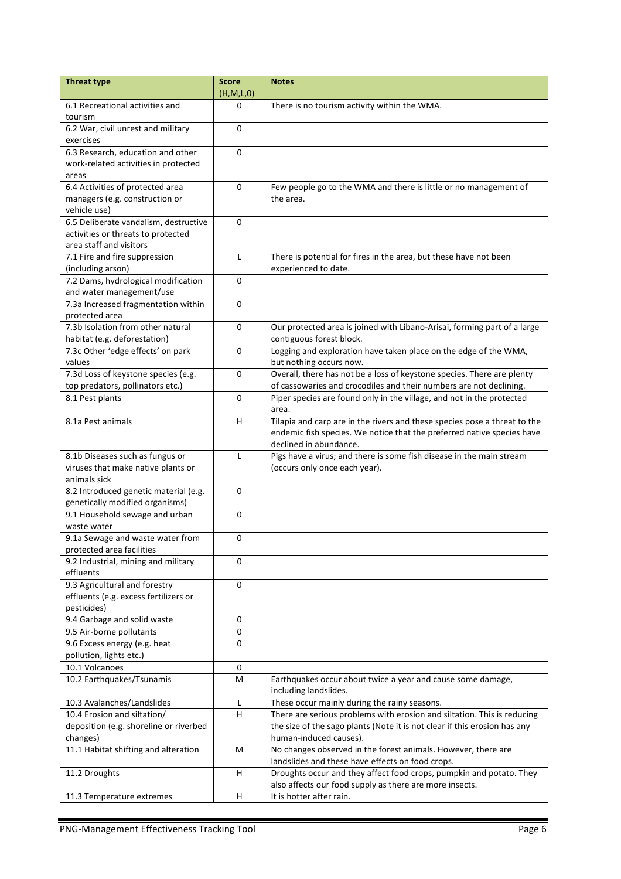| <b>Threat type</b>                                       | <b>Score</b> | <b>Notes</b>                                                                                                                                        |
|----------------------------------------------------------|--------------|-----------------------------------------------------------------------------------------------------------------------------------------------------|
|                                                          | (H,M,L,0)    |                                                                                                                                                     |
| 6.1 Recreational activities and                          | 0            | There is no tourism activity within the WMA.                                                                                                        |
| tourism                                                  |              |                                                                                                                                                     |
| 6.2 War, civil unrest and military                       | $\Omega$     |                                                                                                                                                     |
| exercises<br>6.3 Research, education and other           |              |                                                                                                                                                     |
|                                                          | 0            |                                                                                                                                                     |
| work-related activities in protected                     |              |                                                                                                                                                     |
| areas<br>6.4 Activities of protected area                | $\Omega$     | Few people go to the WMA and there is little or no management of                                                                                    |
| managers (e.g. construction or                           |              | the area.                                                                                                                                           |
| vehicle use)                                             |              |                                                                                                                                                     |
| 6.5 Deliberate vandalism, destructive                    | $\Omega$     |                                                                                                                                                     |
| activities or threats to protected                       |              |                                                                                                                                                     |
| area staff and visitors                                  |              |                                                                                                                                                     |
| 7.1 Fire and fire suppression                            | L            | There is potential for fires in the area, but these have not been                                                                                   |
| (including arson)                                        |              | experienced to date.                                                                                                                                |
| 7.2 Dams, hydrological modification                      | 0            |                                                                                                                                                     |
| and water management/use                                 |              |                                                                                                                                                     |
| 7.3a Increased fragmentation within                      | $\Omega$     |                                                                                                                                                     |
| protected area                                           |              |                                                                                                                                                     |
| 7.3b Isolation from other natural                        | 0            | Our protected area is joined with Libano-Arisai, forming part of a large                                                                            |
| habitat (e.g. deforestation)                             |              | contiguous forest block.                                                                                                                            |
| 7.3c Other 'edge effects' on park                        | 0            | Logging and exploration have taken place on the edge of the WMA,                                                                                    |
| values                                                   |              | but nothing occurs now.                                                                                                                             |
| 7.3d Loss of keystone species (e.g.                      | $\Omega$     | Overall, there has not be a loss of keystone species. There are plenty                                                                              |
| top predators, pollinators etc.)                         |              | of cassowaries and crocodiles and their numbers are not declining.                                                                                  |
| 8.1 Pest plants                                          | $\mathbf 0$  | Piper species are found only in the village, and not in the protected                                                                               |
|                                                          |              | area.                                                                                                                                               |
| 8.1a Pest animals                                        | H.           | Tilapia and carp are in the rivers and these species pose a threat to the<br>endemic fish species. We notice that the preferred native species have |
|                                                          |              | declined in abundance.                                                                                                                              |
| 8.1b Diseases such as fungus or                          | L            | Pigs have a virus; and there is some fish disease in the main stream                                                                                |
| viruses that make native plants or                       |              | (occurs only once each year).                                                                                                                       |
| animals sick                                             |              |                                                                                                                                                     |
| 8.2 Introduced genetic material (e.g.                    | 0            |                                                                                                                                                     |
| genetically modified organisms)                          |              |                                                                                                                                                     |
| 9.1 Household sewage and urban                           | 0            |                                                                                                                                                     |
| waste water                                              |              |                                                                                                                                                     |
| 9.1a Sewage and waste water from                         | 0            |                                                                                                                                                     |
| protected area facilities                                |              |                                                                                                                                                     |
| 9.2 Industrial, mining and military                      | $\Omega$     |                                                                                                                                                     |
| effluents                                                |              |                                                                                                                                                     |
| 9.3 Agricultural and forestry                            | 0            |                                                                                                                                                     |
| effluents (e.g. excess fertilizers or                    |              |                                                                                                                                                     |
| pesticides)                                              |              |                                                                                                                                                     |
| 9.4 Garbage and solid waste                              | 0<br>0       |                                                                                                                                                     |
| 9.5 Air-borne pollutants<br>9.6 Excess energy (e.g. heat | $\Omega$     |                                                                                                                                                     |
| pollution, lights etc.)                                  |              |                                                                                                                                                     |
| 10.1 Volcanoes                                           | 0            |                                                                                                                                                     |
| 10.2 Earthquakes/Tsunamis                                | М            | Earthquakes occur about twice a year and cause some damage,                                                                                         |
|                                                          |              | including landslides.                                                                                                                               |
| 10.3 Avalanches/Landslides                               | L            | These occur mainly during the rainy seasons.                                                                                                        |
| 10.4 Erosion and siltation/                              | н            | There are serious problems with erosion and siltation. This is reducing                                                                             |
| deposition (e.g. shoreline or riverbed                   |              | the size of the sago plants (Note it is not clear if this erosion has any                                                                           |
| changes)                                                 |              | human-induced causes).                                                                                                                              |
| 11.1 Habitat shifting and alteration                     | М            | No changes observed in the forest animals. However, there are                                                                                       |
|                                                          |              | landslides and these have effects on food crops.                                                                                                    |
| 11.2 Droughts                                            | H            | Droughts occur and they affect food crops, pumpkin and potato. They                                                                                 |
|                                                          |              | also affects our food supply as there are more insects.                                                                                             |
| 11.3 Temperature extremes                                | H            | It is hotter after rain.                                                                                                                            |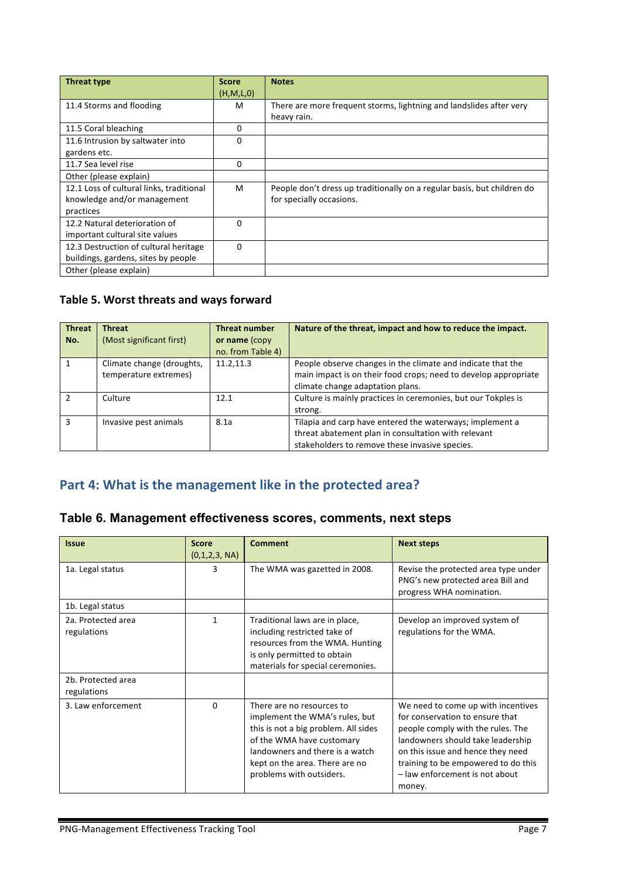| Threat type                              | <b>Score</b> | <b>Notes</b>                                                            |
|------------------------------------------|--------------|-------------------------------------------------------------------------|
|                                          | (H, M, L, 0) |                                                                         |
| 11.4 Storms and flooding                 | м            | There are more frequent storms, lightning and landslides after very     |
|                                          |              | heavy rain.                                                             |
| 11.5 Coral bleaching                     | 0            |                                                                         |
| 11.6 Intrusion by saltwater into         | $\Omega$     |                                                                         |
| gardens etc.                             |              |                                                                         |
| 11.7 Sea level rise                      | 0            |                                                                         |
| Other (please explain)                   |              |                                                                         |
| 12.1 Loss of cultural links, traditional | M            | People don't dress up traditionally on a regular basis, but children do |
| knowledge and/or management              |              | for specially occasions.                                                |
| practices                                |              |                                                                         |
| 12.2 Natural deterioration of            | $\Omega$     |                                                                         |
| important cultural site values           |              |                                                                         |
| 12.3 Destruction of cultural heritage    | $\Omega$     |                                                                         |
| buildings, gardens, sites by people      |              |                                                                         |
| Other (please explain)                   |              |                                                                         |

#### Table 5. Worst threats and ways forward

| <b>Threat</b><br>No. | <b>Threat</b><br>(Most significant first)          | <b>Threat number</b><br>or name (copy<br>no. from Table 4) | Nature of the threat, impact and how to reduce the impact.                                                                                                         |
|----------------------|----------------------------------------------------|------------------------------------------------------------|--------------------------------------------------------------------------------------------------------------------------------------------------------------------|
|                      | Climate change (droughts,<br>temperature extremes) | 11.2,11.3                                                  | People observe changes in the climate and indicate that the<br>main impact is on their food crops; need to develop appropriate<br>climate change adaptation plans. |
| $\mathcal{P}$        | Culture                                            | 12.1                                                       | Culture is mainly practices in ceremonies, but our Tokples is<br>strong.                                                                                           |
| з                    | Invasive pest animals                              | 8.1a                                                       | Tilapia and carp have entered the waterways; implement a<br>threat abatement plan in consultation with relevant<br>stakeholders to remove these invasive species.  |

### Part 4: What is the management like in the protected area?

#### **Table 6. Management effectiveness scores, comments, next steps**

| <b>Issue</b>                      | <b>Score</b><br>(0,1,2,3, NA) | Comment                                                                                                                                                                                                                           | <b>Next steps</b>                                                                                                                                                                                                                                                       |
|-----------------------------------|-------------------------------|-----------------------------------------------------------------------------------------------------------------------------------------------------------------------------------------------------------------------------------|-------------------------------------------------------------------------------------------------------------------------------------------------------------------------------------------------------------------------------------------------------------------------|
| 1a. Legal status                  | 3                             | The WMA was gazetted in 2008.                                                                                                                                                                                                     | Revise the protected area type under<br>PNG's new protected area Bill and<br>progress WHA nomination.                                                                                                                                                                   |
| 1b. Legal status                  |                               |                                                                                                                                                                                                                                   |                                                                                                                                                                                                                                                                         |
| 2a. Protected area<br>regulations | 1                             | Traditional laws are in place,<br>including restricted take of<br>resources from the WMA. Hunting<br>is only permitted to obtain<br>materials for special ceremonies.                                                             | Develop an improved system of<br>regulations for the WMA.                                                                                                                                                                                                               |
| 2b. Protected area<br>regulations |                               |                                                                                                                                                                                                                                   |                                                                                                                                                                                                                                                                         |
| 3. Law enforcement                | $\Omega$                      | There are no resources to<br>implement the WMA's rules, but<br>this is not a big problem. All sides<br>of the WMA have customary<br>landowners and there is a watch<br>kept on the area. There are no<br>problems with outsiders. | We need to come up with incentives<br>for conservation to ensure that<br>people comply with the rules. The<br>landowners should take leadership<br>on this issue and hence they need<br>training to be empowered to do this<br>- law enforcement is not about<br>money. |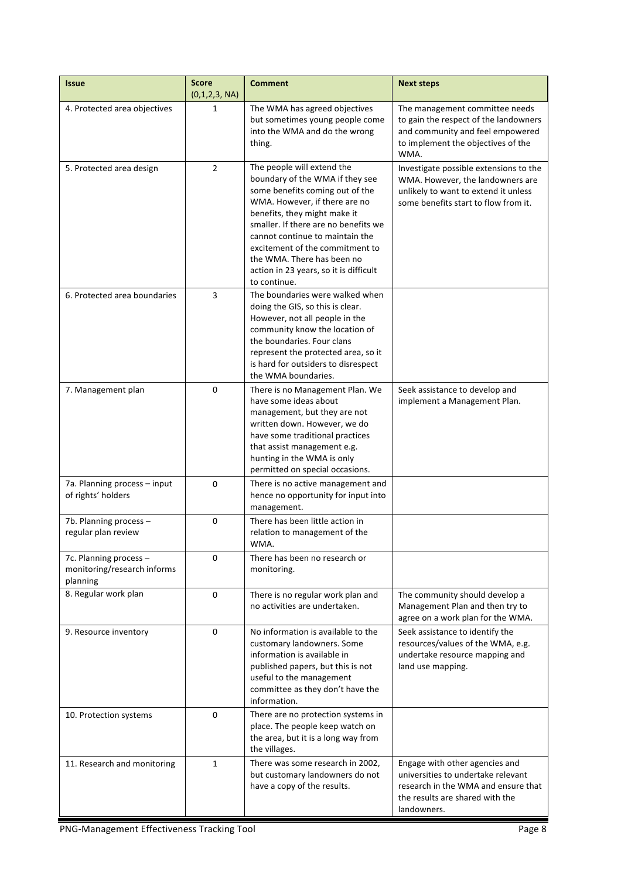| <b>Issue</b>                                                      | <b>Score</b><br>(0,1,2,3, NA) | <b>Comment</b>                                                                                                                                                                                                                                                                                                                                                          | <b>Next steps</b>                                                                                                                                             |
|-------------------------------------------------------------------|-------------------------------|-------------------------------------------------------------------------------------------------------------------------------------------------------------------------------------------------------------------------------------------------------------------------------------------------------------------------------------------------------------------------|---------------------------------------------------------------------------------------------------------------------------------------------------------------|
| 4. Protected area objectives                                      | 1                             | The WMA has agreed objectives<br>but sometimes young people come<br>into the WMA and do the wrong<br>thing.                                                                                                                                                                                                                                                             | The management committee needs<br>to gain the respect of the landowners<br>and community and feel empowered<br>to implement the objectives of the<br>WMA.     |
| 5. Protected area design                                          | $\overline{2}$                | The people will extend the<br>boundary of the WMA if they see<br>some benefits coming out of the<br>WMA. However, if there are no<br>benefits, they might make it<br>smaller. If there are no benefits we<br>cannot continue to maintain the<br>excitement of the commitment to<br>the WMA. There has been no<br>action in 23 years, so it is difficult<br>to continue. | Investigate possible extensions to the<br>WMA. However, the landowners are<br>unlikely to want to extend it unless<br>some benefits start to flow from it.    |
| 6. Protected area boundaries                                      | 3                             | The boundaries were walked when<br>doing the GIS, so this is clear.<br>However, not all people in the<br>community know the location of<br>the boundaries. Four clans<br>represent the protected area, so it<br>is hard for outsiders to disrespect<br>the WMA boundaries.                                                                                              |                                                                                                                                                               |
| 7. Management plan                                                | 0                             | There is no Management Plan. We<br>have some ideas about<br>management, but they are not<br>written down. However, we do<br>have some traditional practices<br>that assist management e.g.<br>hunting in the WMA is only<br>permitted on special occasions.                                                                                                             | Seek assistance to develop and<br>implement a Management Plan.                                                                                                |
| 7a. Planning process - input<br>of rights' holders                | 0                             | There is no active management and<br>hence no opportunity for input into<br>management.                                                                                                                                                                                                                                                                                 |                                                                                                                                                               |
| 7b. Planning process -<br>regular plan review                     | 0                             | There has been little action in<br>relation to management of the<br>WMA.                                                                                                                                                                                                                                                                                                |                                                                                                                                                               |
| 7c. Planning process -<br>monitoring/research informs<br>planning | 0                             | There has been no research or<br>monitoring.                                                                                                                                                                                                                                                                                                                            |                                                                                                                                                               |
| 8. Regular work plan                                              | 0                             | There is no regular work plan and<br>no activities are undertaken.                                                                                                                                                                                                                                                                                                      | The community should develop a<br>Management Plan and then try to<br>agree on a work plan for the WMA.                                                        |
| 9. Resource inventory                                             | 0                             | No information is available to the<br>customary landowners. Some<br>information is available in<br>published papers, but this is not<br>useful to the management<br>committee as they don't have the<br>information.                                                                                                                                                    | Seek assistance to identify the<br>resources/values of the WMA, e.g.<br>undertake resource mapping and<br>land use mapping.                                   |
| 10. Protection systems                                            | 0                             | There are no protection systems in<br>place. The people keep watch on<br>the area, but it is a long way from<br>the villages.                                                                                                                                                                                                                                           |                                                                                                                                                               |
| 11. Research and monitoring                                       | 1                             | There was some research in 2002,<br>but customary landowners do not<br>have a copy of the results.                                                                                                                                                                                                                                                                      | Engage with other agencies and<br>universities to undertake relevant<br>research in the WMA and ensure that<br>the results are shared with the<br>landowners. |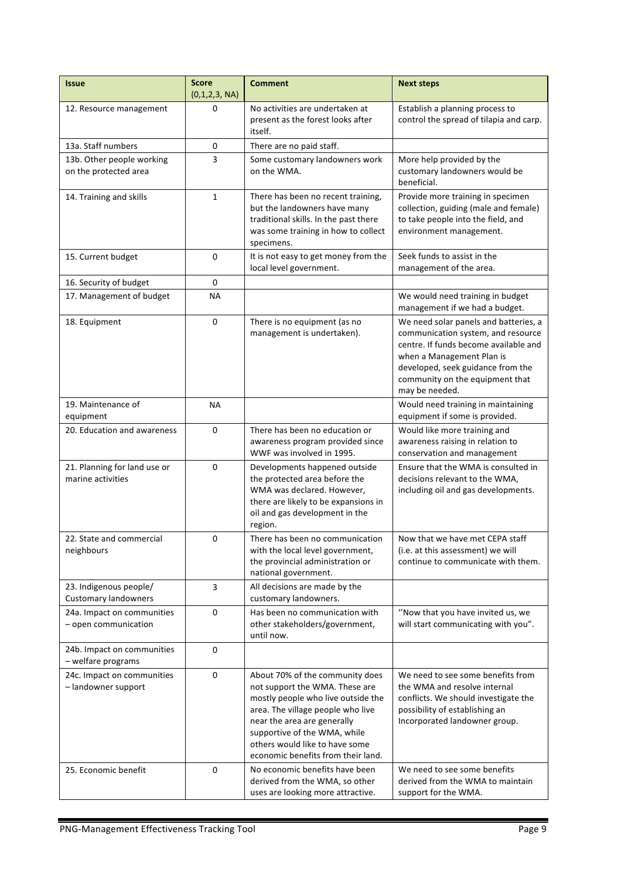| <b>Issue</b>                                          | <b>Score</b><br>(0,1,2,3, NA) | <b>Comment</b>                                                                                                                                                                                                                                                                      | <b>Next steps</b>                                                                                                                                                                                                                           |
|-------------------------------------------------------|-------------------------------|-------------------------------------------------------------------------------------------------------------------------------------------------------------------------------------------------------------------------------------------------------------------------------------|---------------------------------------------------------------------------------------------------------------------------------------------------------------------------------------------------------------------------------------------|
| 12. Resource management                               | 0                             | No activities are undertaken at<br>present as the forest looks after<br>itself.                                                                                                                                                                                                     | Establish a planning process to<br>control the spread of tilapia and carp.                                                                                                                                                                  |
| 13a. Staff numbers                                    | 0                             | There are no paid staff.                                                                                                                                                                                                                                                            |                                                                                                                                                                                                                                             |
| 13b. Other people working<br>on the protected area    | 3                             | Some customary landowners work<br>on the WMA.                                                                                                                                                                                                                                       | More help provided by the<br>customary landowners would be<br>beneficial.                                                                                                                                                                   |
| 14. Training and skills                               | $\mathbf{1}$                  | There has been no recent training,<br>but the landowners have many<br>traditional skills. In the past there<br>was some training in how to collect<br>specimens.                                                                                                                    | Provide more training in specimen<br>collection, guiding (male and female)<br>to take people into the field, and<br>environment management.                                                                                                 |
| 15. Current budget                                    | 0                             | It is not easy to get money from the<br>local level government.                                                                                                                                                                                                                     | Seek funds to assist in the<br>management of the area.                                                                                                                                                                                      |
| 16. Security of budget                                | 0                             |                                                                                                                                                                                                                                                                                     |                                                                                                                                                                                                                                             |
| 17. Management of budget                              | <b>NA</b>                     |                                                                                                                                                                                                                                                                                     | We would need training in budget<br>management if we had a budget.                                                                                                                                                                          |
| 18. Equipment                                         | 0                             | There is no equipment (as no<br>management is undertaken).                                                                                                                                                                                                                          | We need solar panels and batteries, a<br>communication system, and resource<br>centre. If funds become available and<br>when a Management Plan is<br>developed, seek guidance from the<br>community on the equipment that<br>may be needed. |
| 19. Maintenance of<br>equipment                       | ΝA                            |                                                                                                                                                                                                                                                                                     | Would need training in maintaining<br>equipment if some is provided.                                                                                                                                                                        |
| 20. Education and awareness                           | 0                             | There has been no education or<br>awareness program provided since<br>WWF was involved in 1995.                                                                                                                                                                                     | Would like more training and<br>awareness raising in relation to<br>conservation and management                                                                                                                                             |
| 21. Planning for land use or<br>marine activities     | 0                             | Developments happened outside<br>the protected area before the<br>WMA was declared. However,<br>there are likely to be expansions in<br>oil and gas development in the<br>region.                                                                                                   | Ensure that the WMA is consulted in<br>decisions relevant to the WMA,<br>including oil and gas developments.                                                                                                                                |
| 22. State and commercial<br>neighbours                | 0                             | There has been no communication<br>with the local level government,<br>the provincial administration or<br>national government.                                                                                                                                                     | Now that we have met CEPA staff<br>(i.e. at this assessment) we will<br>continue to communicate with them.                                                                                                                                  |
| 23. Indigenous people/<br><b>Customary landowners</b> | 3                             | All decisions are made by the<br>customary landowners.                                                                                                                                                                                                                              |                                                                                                                                                                                                                                             |
| 24a. Impact on communities<br>$-$ open communication  | 0                             | Has been no communication with<br>other stakeholders/government,<br>until now.                                                                                                                                                                                                      | "Now that you have invited us, we<br>will start communicating with you".                                                                                                                                                                    |
| 24b. Impact on communities<br>- welfare programs      | 0                             |                                                                                                                                                                                                                                                                                     |                                                                                                                                                                                                                                             |
| 24c. Impact on communities<br>- landowner support     | $\mathbf 0$                   | About 70% of the community does<br>not support the WMA. These are<br>mostly people who live outside the<br>area. The village people who live<br>near the area are generally<br>supportive of the WMA, while<br>others would like to have some<br>economic benefits from their land. | We need to see some benefits from<br>the WMA and resolve internal<br>conflicts. We should investigate the<br>possibility of establishing an<br>Incorporated landowner group.                                                                |
| 25. Economic benefit                                  | 0                             | No economic benefits have been<br>derived from the WMA, so other<br>uses are looking more attractive.                                                                                                                                                                               | We need to see some benefits<br>derived from the WMA to maintain<br>support for the WMA.                                                                                                                                                    |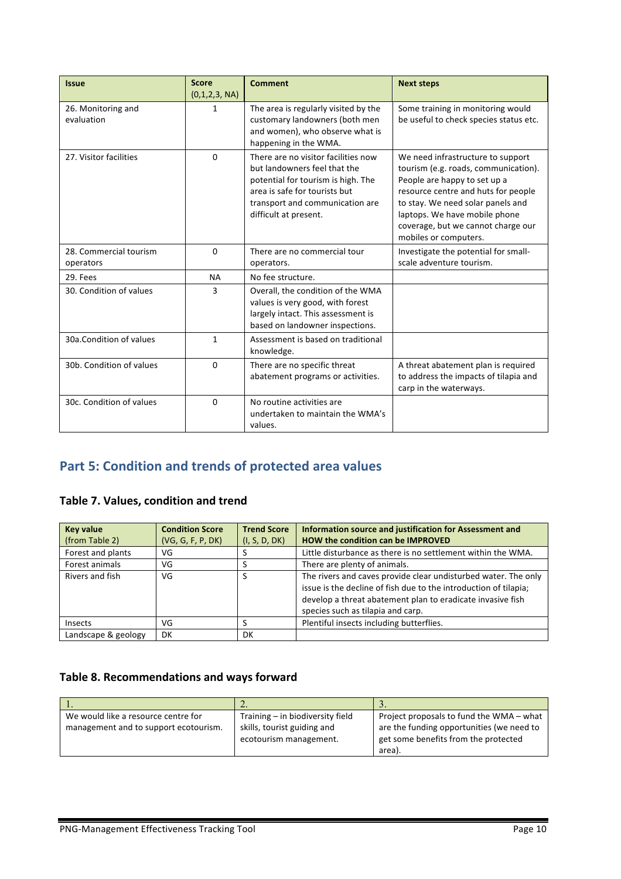| <b>Issue</b>                        | <b>Score</b><br>(0,1,2,3, NA) | <b>Comment</b>                                                                                                                                                                                         | <b>Next steps</b>                                                                                                                                                                                                                                                                     |
|-------------------------------------|-------------------------------|--------------------------------------------------------------------------------------------------------------------------------------------------------------------------------------------------------|---------------------------------------------------------------------------------------------------------------------------------------------------------------------------------------------------------------------------------------------------------------------------------------|
| 26. Monitoring and<br>evaluation    | 1                             | The area is regularly visited by the<br>customary landowners (both men<br>and women), who observe what is<br>happening in the WMA.                                                                     | Some training in monitoring would<br>be useful to check species status etc.                                                                                                                                                                                                           |
| 27. Visitor facilities              | $\Omega$                      | There are no visitor facilities now<br>but landowners feel that the<br>potential for tourism is high. The<br>area is safe for tourists but<br>transport and communication are<br>difficult at present. | We need infrastructure to support<br>tourism (e.g. roads, communication).<br>People are happy to set up a<br>resource centre and huts for people<br>to stay. We need solar panels and<br>laptops. We have mobile phone<br>coverage, but we cannot charge our<br>mobiles or computers. |
| 28. Commercial tourism<br>operators | $\Omega$                      | There are no commercial tour<br>operators.                                                                                                                                                             | Investigate the potential for small-<br>scale adventure tourism.                                                                                                                                                                                                                      |
| 29. Fees                            | <b>NA</b>                     | No fee structure.                                                                                                                                                                                      |                                                                                                                                                                                                                                                                                       |
| 30. Condition of values             | 3                             | Overall, the condition of the WMA<br>values is very good, with forest<br>largely intact. This assessment is<br>based on landowner inspections.                                                         |                                                                                                                                                                                                                                                                                       |
| 30a.Condition of values             | $\mathbf{1}$                  | Assessment is based on traditional<br>knowledge.                                                                                                                                                       |                                                                                                                                                                                                                                                                                       |
| 30b. Condition of values            | $\Omega$                      | There are no specific threat<br>abatement programs or activities.                                                                                                                                      | A threat abatement plan is required<br>to address the impacts of tilapia and<br>carp in the waterways.                                                                                                                                                                                |
| 30c. Condition of values            | $\Omega$                      | No routine activities are<br>undertaken to maintain the WMA's<br>values.                                                                                                                               |                                                                                                                                                                                                                                                                                       |

# **Part 5: Condition and trends of protected area values**

#### **Table 7. Values, condition and trend**

| <b>Key value</b>    | <b>Condition Score</b> | <b>Trend Score</b> | Information source and justification for Assessment and                                                                                                                                                                               |
|---------------------|------------------------|--------------------|---------------------------------------------------------------------------------------------------------------------------------------------------------------------------------------------------------------------------------------|
| (from Table 2)      | (VG, G, F, P, DK)      | (I, S, D, DK)      | HOW the condition can be IMPROVED                                                                                                                                                                                                     |
| Forest and plants   | VG                     |                    | Little disturbance as there is no settlement within the WMA.                                                                                                                                                                          |
| Forest animals      | VG                     |                    | There are plenty of animals.                                                                                                                                                                                                          |
| Rivers and fish     | VG                     | S                  | The rivers and caves provide clear undisturbed water. The only<br>issue is the decline of fish due to the introduction of tilapia;<br>develop a threat abatement plan to eradicate invasive fish<br>species such as tilapia and carp. |
| Insects             | VG                     |                    | Plentiful insects including butterflies.                                                                                                                                                                                              |
| Landscape & geology | DK                     | DK                 |                                                                                                                                                                                                                                       |

#### Table 8. Recommendations and ways forward

|                                                                              | <u>.</u>                                                                                  | J .                                                                                                                                     |
|------------------------------------------------------------------------------|-------------------------------------------------------------------------------------------|-----------------------------------------------------------------------------------------------------------------------------------------|
| We would like a resource centre for<br>management and to support ecotourism. | Training - in biodiversity field<br>skills, tourist guiding and<br>ecotourism management. | Project proposals to fund the WMA - what<br>are the funding opportunities (we need to<br>get some benefits from the protected<br>area). |